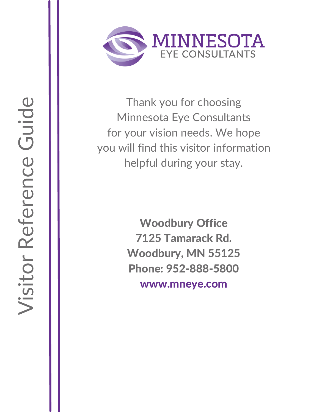

Thank you for choosing Minnesota Eye Consultants for your vision needs. We hope you will find this visitor information helpful during your stay.

> Woodbury Office 7125 Tamarack Rd. Woodbury, MN 55125 Phone: 952-888-5800 www.mneye.com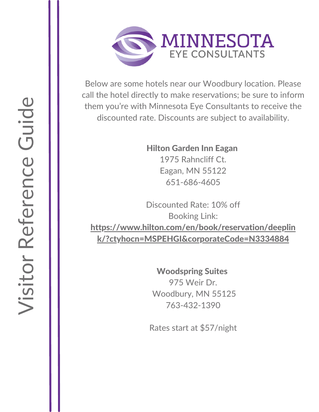

Below are some hotels near our Woodbury location. Please call the hotel directly to make reservations; be sure to inform them you're with Minnesota Eye Consultants to receive the discounted rate. Discounts are subject to availability.

> Hilton Garden Inn Eagan 1975 Rahncliff Ct. Eagan, MN 55122 651-686-4605

Discounted Rate: 10% off Booking Link: [https://www.hilton.com/en/book/reservation/deeplin](https://www.hilton.com/en/book/reservation/rooms/?ctyhocn=MSPEHGI&arrivalDate=2022-02-03&departureDate=2022-02-04&room1NumAdults=1) k/?ctyhocn=MSPEHGI&corporateCode=N3334884

> Woodspring Suites 975 Weir Dr. Woodbury, MN 55125 763-432-1390

Rates start at \$57/night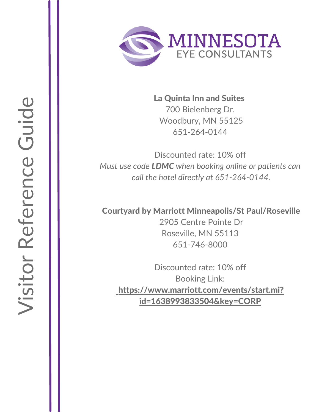

La Quinta Inn and Suites 700 Bielenberg Dr. [W](https://www.coratelinn.com/blaine/)oodbury, MN 55125 651-264-0144

Discounted rate: 10% off *Must use code LDMC when booking online or patients can call the hotel directly at 651-264-0144.* 

## Courtyard by Marriott Minneapolis/St Paul/Roseville

2905 Centre Pointe Dr Roseville, MN 55113 651-746-8000

Discounted rate: 10% off Booking Link: [https://www.marriott.com/events/start.mi?](https://www.marriott.com/event-reservations/reservation-link.mi?id=1638993833504&key=CORP&app=resvlink) id=1638993833504&key=CORP